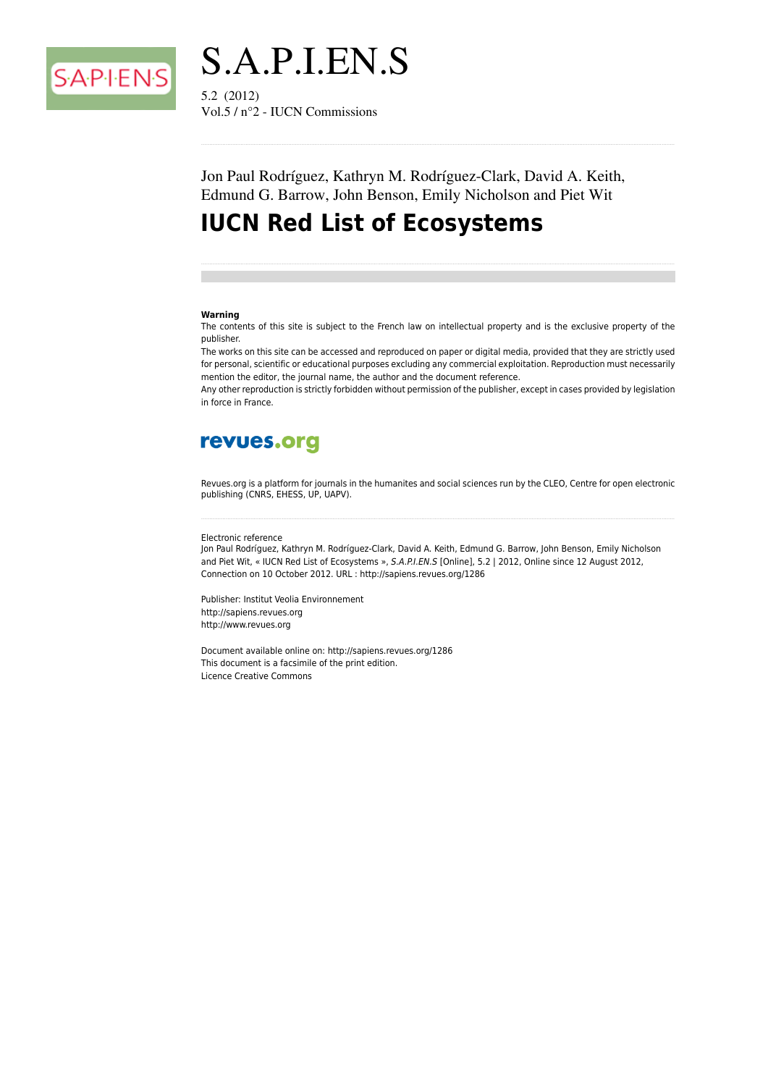



Vol.5 /  $n^{\circ}$ 2 - IUCN Commissions

Jon Paul Rodríguez, Kathryn M. Rodríguez-Clark, David A. Keith, Edmund G. Barrow, John Benson, Emily Nicholson and Piet Wit

# **IUCN Red List of Ecosystems**

#### Warning

The contents of this site is subject to the French law on intellectual property and is the exclusive property of the publisher.

The works on this site can be accessed and reproduced on paper or digital media, provided that they are strictly used for personal, scientific or educational purposes excluding any commercial exploitation. Reproduction must necessarily mention the editor, the journal name, the author and the document reference.

Any other reproduction is strictly forbidden without permission of the publisher, except in cases provided by legislation in force in France.

# revues.org

Revues.org is a platform for journals in the humanites and social sciences run by the CLEO, Centre for open electronic publishing (CNRS, EHESS, UP, UAPV).

#### Electronic reference

Jon Paul Rodríguez, Kathryn M. Rodríguez-Clark, David A. Keith, Edmund G. Barrow, John Benson, Emily Nicholson and Piet Wit, « IUCN Red List of Ecosystems », S.A.P.I.EN.S [Online], 5.2 | 2012, Online since 12 August 2012, Connection on 10 October 2012. URL : http://sapiens.revues.org/1286

Publisher: Institut Veolia Environnement http://sapiens.revues.org http://www.revues.org

Document available online on: http://sapiens.revues.org/1286 This document is a facsimile of the print edition. Licence Creative Commons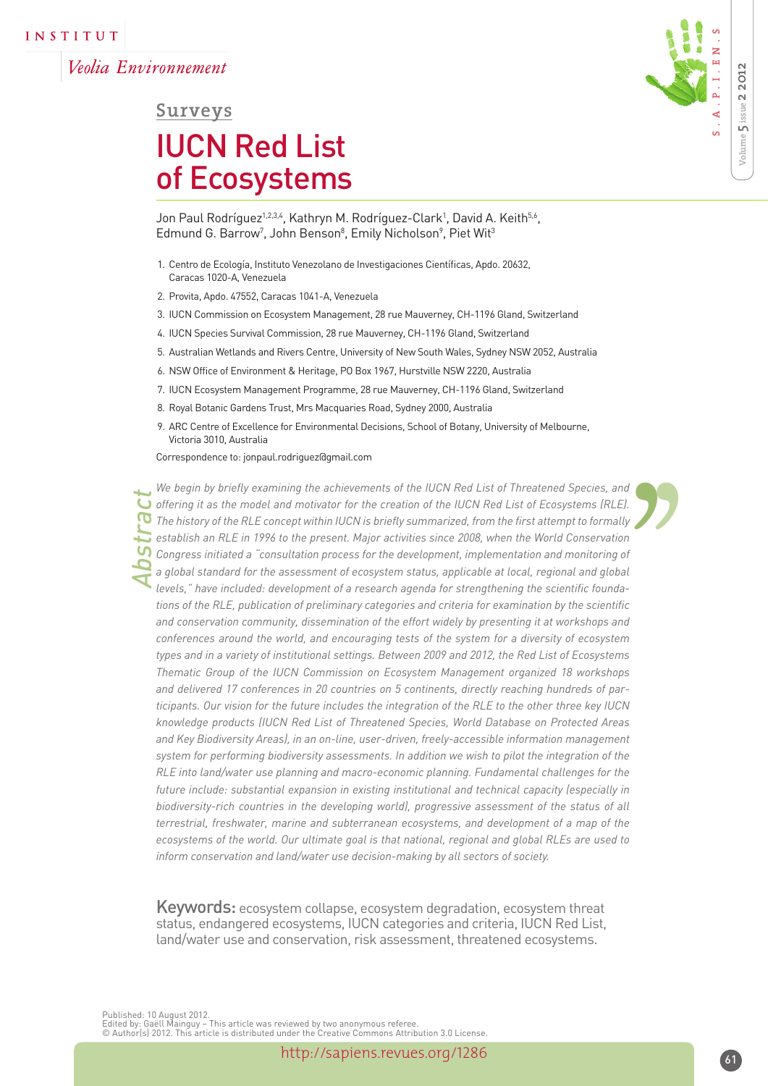Veolia Environnement



## **Surveys**

# IUCN Red List of Ecosystems

Jon Paul Rodríguez<sup>1,2,3,4</sup>, Kathryn M. Rodríguez-Clark<sup>1</sup>, David A. Keith<sup>5,6</sup>, Edmund G. Barrow<sup>7</sup>, John Benson<sup>8</sup>, Emily Nicholson<sup>9</sup>, Piet Wit<sup>3</sup>

- 1. Centro de Ecología, Instituto Venezolano de Investigaciones Científicas, Apdo. 20632, Caracas 1020-A, Venezuela
- 2. Provita, Apdo. 47552, Caracas 1041-A, Venezuela
- 3. IUCN Commission on Ecosystem Management, 28 rue Mauverney, CH-1196 Gland, Switzerland
- 4. IUCN Species Survival Commission, 28 rue Mauverney, CH-1196 Gland, Switzerland
- 5. Australian Wetlands and Rivers Centre, University of New South Wales, Sydney NSW 2052, Australia
- 6. NSW Office of Environment & Heritage, PO Box 1967, Hurstville NSW 2220, Australia
- 7. IUCN Ecosystem Management Programme, 28 rue Mauverney, CH-1196 Gland, Switzerland
- 8. Royal Botanic Gardens Trust, Mrs Macquaries Road, Sydney 2000, Australia
- 9. ARC Centre of Excellence for Environmental Decisions, School of Botany, University of Melbourne, Victoria 3010, Australia

Correspondence to: jonpaul.rodriguez@gmail.com

*Abstract* d<br>
1, y<br>
n<br>
1<br>
ic<br>
d<br>
m<br>
m *We begin by briefly examining the achievements of the IUCN Red List of Threatened Species, and offering it as the model and motivator for the creation of the IUCN Red List of Ecosystems (RLE). The history of the RLE concept within IUCN is briefly summarized, from the first attempt to formally establish an RLE in 1996 to the present. Major activities since 2008, when the World Conservation Congress initiated a "consultation process for the development, implementation and monitoring of a global standard for the assessment of ecosystem status, applicable at local, regional and global levels," have included: development of a research agenda for strengthening the scientific foundations of the RLE, publication of preliminary categories and criteria for examination by the scientific and conservation community, dissemination of the effort widely by presenting it at workshops and conferences around the world, and encouraging tests of the system for a diversity of ecosystem types and in a variety of institutional settings. Between 2009 and 2012, the Red List of Ecosystems Thematic Group of the IUCN Commission on Ecosystem Management organized 18 workshops and delivered 17 conferences in 20 countries on 5 continents, directly reaching hundreds of participants. Our vision for the future includes the integration of the RLE to the other three key IUCN knowledge products (IUCN Red List of Threatened Species, World Database on Protected Areas and Key Biodiversity Areas), in an on-line, user-driven, freely-accessible information management system for performing biodiversity assessments. In addition we wish to pilot the integration of the RLE into land/water use planning and macro-economic planning. Fundamental challenges for the future include: substantial expansion in existing institutional and technical capacity (especially in biodiversity-rich countries in the developing world), progressive assessment of the status of all terrestrial, freshwater, marine and subterranean ecosystems, and development of a map of the ecosystems of the world. Our ultimate goal is that national, regional and global RLEs are used to inform conservation and land/water use decision-making by all sectors of society.* 

Keywords: ecosystem collapse, ecosystem degradation, ecosystem threat status, endangered ecosystems, IUCN categories and criteria, IUCN Red List, land/water use and conservation, risk assessment, threatened ecosystems.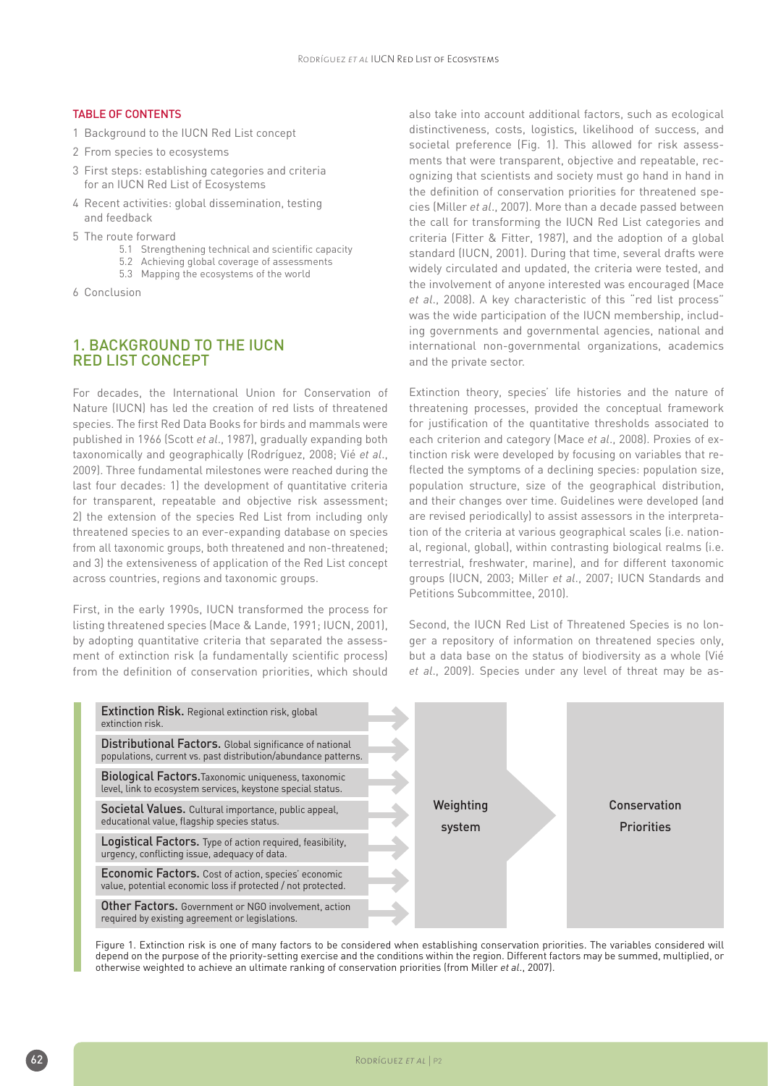#### Table of Contents

- 1 Background to the IUCN Red List concept
- 2 From species to ecosystems
- 3 First steps: establishing categories and criteria for an IUCN Red List of Ecosystems
- 4 Recent activities: global dissemination, testing and feedback
- 5 The route forward
	- 5.1 Strengthening technical and scientific capacity
	- 5.2 Achieving global coverage of assessments
	- 5.3 Mapping the ecosystems of the world
- 6 Conclusion

#### 1. Background to the IUCN Red List concept

For decades, the International Union for Conservation of Nature (IUCN) has led the creation of red lists of threatened species. The first Red Data Books for birds and mammals were published in 1966 (Scott *et al*., 1987), gradually expanding both taxonomically and geographically (Rodríguez, 2008; Vié *et al*., 2009). Three fundamental milestones were reached during the last four decades: 1) the development of quantitative criteria for transparent, repeatable and objective risk assessment; 2) the extension of the species Red List from including only threatened species to an ever-expanding database on species from all taxonomic groups, both threatened and non-threatened; and 3) the extensiveness of application of the Red List concept across countries, regions and taxonomic groups.

First, in the early 1990s, IUCN transformed the process for listing threatened species (Mace & Lande, 1991; IUCN, 2001), by adopting quantitative criteria that separated the assessment of extinction risk (a fundamentally scientific process) from the definition of conservation priorities, which should also take into account additional factors, such as ecological distinctiveness, costs, logistics, likelihood of success, and societal preference (Fig. 1). This allowed for risk assessments that were transparent, objective and repeatable, recognizing that scientists and society must go hand in hand in the definition of conservation priorities for threatened species (Miller *et al*., 2007). More than a decade passed between the call for transforming the IUCN Red List categories and criteria (Fitter & Fitter, 1987), and the adoption of a global standard (IUCN, 2001). During that time, several drafts were widely circulated and updated, the criteria were tested, and the involvement of anyone interested was encouraged (Mace *et al*., 2008). A key characteristic of this "red list process" was the wide participation of the IUCN membership, including governments and governmental agencies, national and international non-governmental organizations, academics and the private sector.

Extinction theory, species' life histories and the nature of threatening processes, provided the conceptual framework for justification of the quantitative thresholds associated to each criterion and category (Mace *et al*., 2008). Proxies of extinction risk were developed by focusing on variables that reflected the symptoms of a declining species: population size, population structure, size of the geographical distribution, and their changes over time. Guidelines were developed (and are revised periodically) to assist assessors in the interpretation of the criteria at various geographical scales (i.e. national, regional, global), within contrasting biological realms (i.e. terrestrial, freshwater, marine), and for different taxonomic groups (IUCN, 2003; Miller *et al*., 2007; IUCN Standards and Petitions Subcommittee, 2010).

Second, the IUCN Red List of Threatened Species is no longer a repository of information on threatened species only, but a data base on the status of biodiversity as a whole (Vié *et al*., 2009). Species under any level of threat may be as-



Figure 1. Extinction risk is one of many factors to be considered when establishing conservation priorities. The variables considered will depend on the purpose of the priority-setting exercise and the conditions within the region. Different factors may be summed, multiplied, or otherwise weighted to achieve an ultimate ranking of conservation priorities (from Miller *et al*., 2007).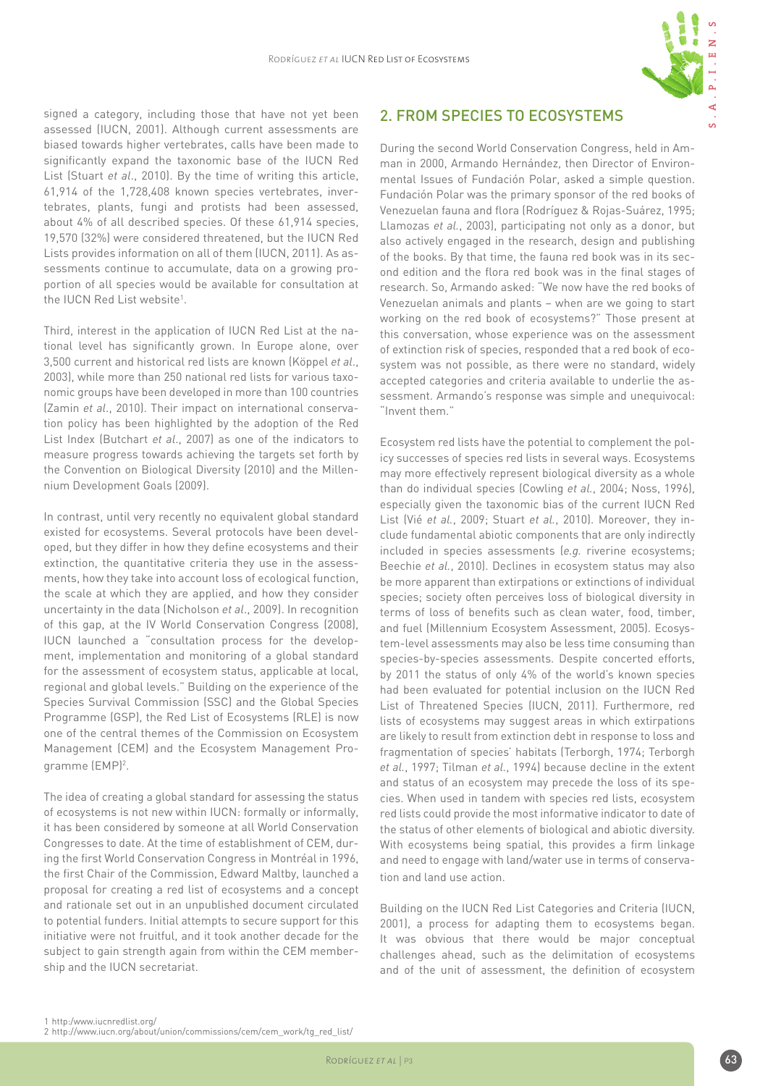

signed a category, including those that have not yet been assessed (IUCN, 2001). Although current assessments are biased towards higher vertebrates, calls have been made to significantly expand the taxonomic base of the IUCN Red List (Stuart *et al*., 2010). By the time of writing this article, 61,914 of the 1,728,408 known species vertebrates, invertebrates, plants, fungi and protists had been assessed, about 4% of all described species. Of these 61,914 species, 19,570 (32%) were considered threatened, but the IUCN Red Lists provides information on all of them (IUCN, 2011). As assessments continue to accumulate, data on a growing proportion of all species would be available for consultation at the IUCN Red List website<sup>1</sup>.

Third, interest in the application of IUCN Red List at the national level has significantly grown. In Europe alone, over 3,500 current and historical red lists are known (Köppel *et al*., 2003), while more than 250 national red lists for various taxonomic groups have been developed in more than 100 countries (Zamin *et al*., 2010). Their impact on international conservation policy has been highlighted by the adoption of the Red List Index (Butchart *et al*., 2007) as one of the indicators to measure progress towards achieving the targets set forth by the Convention on Biological Diversity (2010) and the Millennium Development Goals (2009).

In contrast, until very recently no equivalent global standard existed for ecosystems. Several protocols have been developed, but they differ in how they define ecosystems and their extinction, the quantitative criteria they use in the assessments, how they take into account loss of ecological function, the scale at which they are applied, and how they consider uncertainty in the data (Nicholson *et al*., 2009). In recognition of this gap, at the IV World Conservation Congress (2008), IUCN launched a "consultation process for the development, implementation and monitoring of a global standard for the assessment of ecosystem status, applicable at local, regional and global levels." Building on the experience of the Species Survival Commission (SSC) and the Global Species Programme (GSP), the Red List of Ecosystems (RLE) is now one of the central themes of the Commission on Ecosystem Management (CEM) and the Ecosystem Management Programme (EMP)<sup>2</sup>.

The idea of creating a global standard for assessing the status of ecosystems is not new within IUCN: formally or informally, it has been considered by someone at all World Conservation Congresses to date. At the time of establishment of CEM, during the first World Conservation Congress in Montréal in 1996, the first Chair of the Commission, Edward Maltby, launched a proposal for creating a red list of ecosystems and a concept and rationale set out in an unpublished document circulated to potential funders. Initial attempts to secure support for this initiative were not fruitful, and it took another decade for the subject to gain strength again from within the CEM membership and the IUCN secretariat.

#### 2. From species to ecosystems

During the second World Conservation Congress, held in Amman in 2000, Armando Hernández, then Director of Environmental Issues of Fundación Polar, asked a simple question. Fundación Polar was the primary sponsor of the red books of Venezuelan fauna and flora (Rodríguez & Rojas-Suárez, 1995; Llamozas *et al.*, 2003), participating not only as a donor, but also actively engaged in the research, design and publishing of the books. By that time, the fauna red book was in its second edition and the flora red book was in the final stages of research. So, Armando asked: "We now have the red books of Venezuelan animals and plants – when are we going to start working on the red book of ecosystems?" Those present at this conversation, whose experience was on the assessment of extinction risk of species, responded that a red book of ecosystem was not possible, as there were no standard, widely accepted categories and criteria available to underlie the assessment. Armando's response was simple and unequivocal: "Invent them."

Ecosystem red lists have the potential to complement the policy successes of species red lists in several ways. Ecosystems may more effectively represent biological diversity as a whole than do individual species (Cowling *et al.*, 2004; Noss, 1996), especially given the taxonomic bias of the current IUCN Red List (Vié *et al.*, 2009; Stuart *et al.*, 2010). Moreover, they include fundamental abiotic components that are only indirectly included in species assessments (*e.g.* riverine ecosystems; Beechie *et al.*, 2010). Declines in ecosystem status may also be more apparent than extirpations or extinctions of individual species; society often perceives loss of biological diversity in terms of loss of benefits such as clean water, food, timber, and fuel (Millennium Ecosystem Assessment, 2005). Ecosystem-level assessments may also be less time consuming than species-by-species assessments. Despite concerted efforts, by 2011 the status of only 4% of the world's known species had been evaluated for potential inclusion on the IUCN Red List of Threatened Species (IUCN, 2011). Furthermore, red lists of ecosystems may suggest areas in which extirpations are likely to result from extinction debt in response to loss and fragmentation of species' habitats (Terborgh, 1974; Terborgh *et al.*, 1997; Tilman *et al.*, 1994) because decline in the extent and status of an ecosystem may precede the loss of its species. When used in tandem with species red lists, ecosystem red lists could provide the most informative indicator to date of the status of other elements of biological and abiotic diversity. With ecosystems being spatial, this provides a firm linkage and need to engage with land/water use in terms of conservation and land use action.

Building on the IUCN Red List Categories and Criteria (IUCN, 2001), a process for adapting them to ecosystems began. It was obvious that there would be major conceptual challenges ahead, such as the delimitation of ecosystems and of the unit of assessment, the definition of ecosystem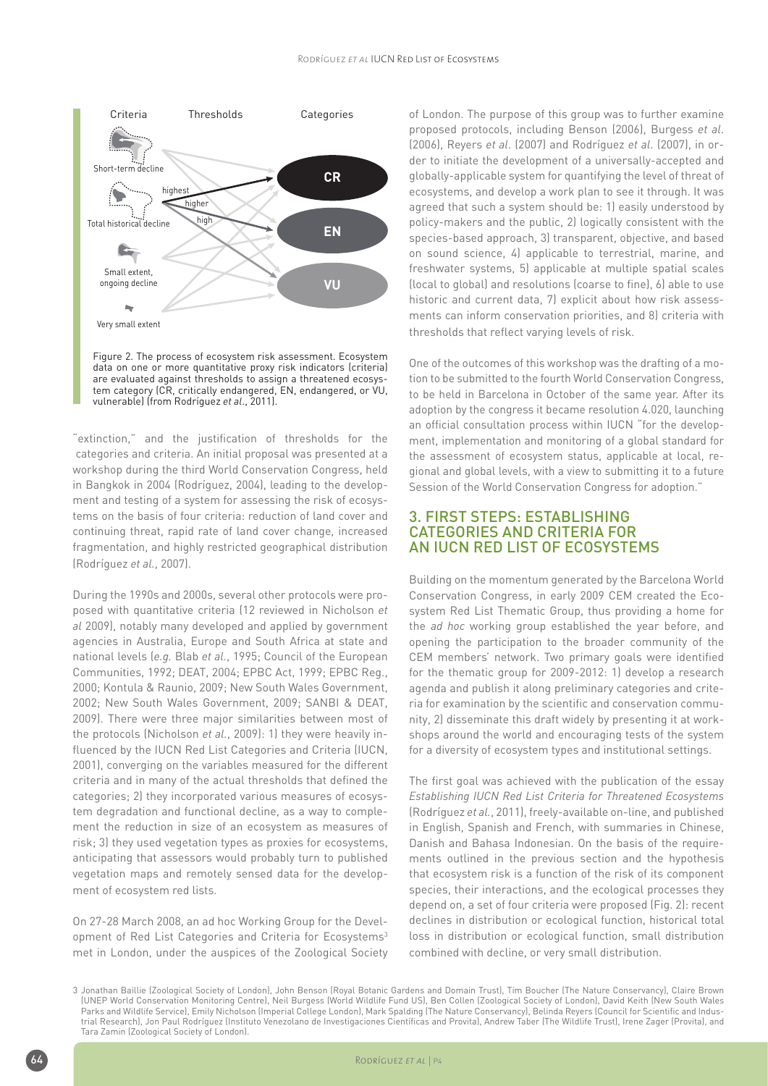

Figure 2. The process of ecosystem risk assessment. Ecosystem data on one or more quantitative proxy risk indicators (criteria) are evaluated against thresholds to assign a threatened ecosystem category (CR, critically endangered, EN, endangered, or VU, vulnerable) (from Rodríguez *et al*., 2011).

"extinction," and the justification of thresholds for the categories and criteria. An initial proposal was presented at a workshop during the third World Conservation Congress, held in Bangkok in 2004 (Rodríguez, 2004), leading to the development and testing of a system for assessing the risk of ecosystems on the basis of four criteria: reduction of land cover and continuing threat, rapid rate of land cover change, increased fragmentation, and highly restricted geographical distribution (Rodríguez *et al.*, 2007).

During the 1990s and 2000s, several other protocols were proposed with quantitative criteria (12 reviewed in Nicholson *et al* 2009), notably many developed and applied by government agencies in Australia, Europe and South Africa at state and national levels (*e.g.* Blab *et al.*, 1995; Council of the European Communities, 1992; DEAT, 2004; EPBC Act, 1999; EPBC Reg., 2000; Kontula & Raunio, 2009; New South Wales Government, 2002; New South Wales Government, 2009; SANBI & DEAT, 2009). There were three major similarities between most of the protocols (Nicholson *et al.*, 2009): 1) they were heavily influenced by the IUCN Red List Categories and Criteria (IUCN, 2001), converging on the variables measured for the different criteria and in many of the actual thresholds that defined the categories; 2) they incorporated various measures of ecosystem degradation and functional decline, as a way to complement the reduction in size of an ecosystem as measures of risk; 3) they used vegetation types as proxies for ecosystems, anticipating that assessors would probably turn to published vegetation maps and remotely sensed data for the development of ecosystem red lists.

On 27-28 March 2008, an ad hoc Working Group for the Development of Red List Categories and Criteria for Ecosystems<sup>3</sup> met in London, under the auspices of the Zoological Society of London. The purpose of this group was to further examine proposed protocols, including Benson (2006), Burgess *et al*. (2006), Reyers *et al*. (2007) and Rodríguez *et al*. (2007), in order to initiate the development of a universally-accepted and globally-applicable system for quantifying the level of threat of ecosystems, and develop a work plan to see it through. It was agreed that such a system should be: 1) easily understood by policy-makers and the public, 2) logically consistent with the species-based approach, 3) transparent, objective, and based on sound science, 4) applicable to terrestrial, marine, and freshwater systems, 5) applicable at multiple spatial scales (local to global) and resolutions (coarse to fine), 6) able to use historic and current data, 7) explicit about how risk assessments can inform conservation priorities, and 8) criteria with thresholds that reflect varying levels of risk.

One of the outcomes of this workshop was the drafting of a motion to be submitted to the fourth World Conservation Congress, to be held in Barcelona in October of the same year. After its adoption by the congress it became resolution 4.020, launching an official consultation process within IUCN "for the development, implementation and monitoring of a global standard for the assessment of ecosystem status, applicable at local, regional and global levels, with a view to submitting it to a future Session of the World Conservation Congress for adoption."

#### 3. First steps: establishing categories and criteria for an IUCN Red List of Ecosystems

Building on the momentum generated by the Barcelona World Conservation Congress, in early 2009 CEM created the Ecosystem Red List Thematic Group, thus providing a home for the *ad hoc* working group established the year before, and opening the participation to the broader community of the CEM members' network. Two primary goals were identified for the thematic group for 2009-2012: 1) develop a research agenda and publish it along preliminary categories and criteria for examination by the scientific and conservation community, 2) disseminate this draft widely by presenting it at workshops around the world and encouraging tests of the system for a diversity of ecosystem types and institutional settings.

The first goal was achieved with the publication of the essay *Establishing IUCN Red List Criteria for Threatened Ecosystems* (Rodríguez *et al.*, 2011), freely-available on-line, and published in English, Spanish and French, with summaries in Chinese, Danish and Bahasa Indonesian. On the basis of the requirements outlined in the previous section and the hypothesis that ecosystem risk is a function of the risk of its component species, their interactions, and the ecological processes they depend on, a set of four criteria were proposed (Fig. 2): recent declines in distribution or ecological function, historical total loss in distribution or ecological function, small distribution combined with decline, or very small distribution.

<sup>3</sup> Jonathan Baillie (Zoological Society of London), John Benson (Royal Botanic Gardens and Domain Trust), Tim Boucher (The Nature Conservancy), Claire Brown (UNEP World Conservation Monitoring Centre), Neil Burgess (World Wildlife Fund US), Ben Collen (Zoological Society of London), David Keith (New South Wales Parks and Wildlife Service), Emily Nicholson (Imperial College London), Mark Spalding (The Nature Conservancy), Belinda Reyers (Council for Scientific and Industrial Research), Jon Paul Rodríguez (Instituto Venezolano de Investigaciones Científicas and Provita), Andrew Taber (The Wildlife Trust), Irene Zager (Provita), and Tara Zamin (Zoological Society of London).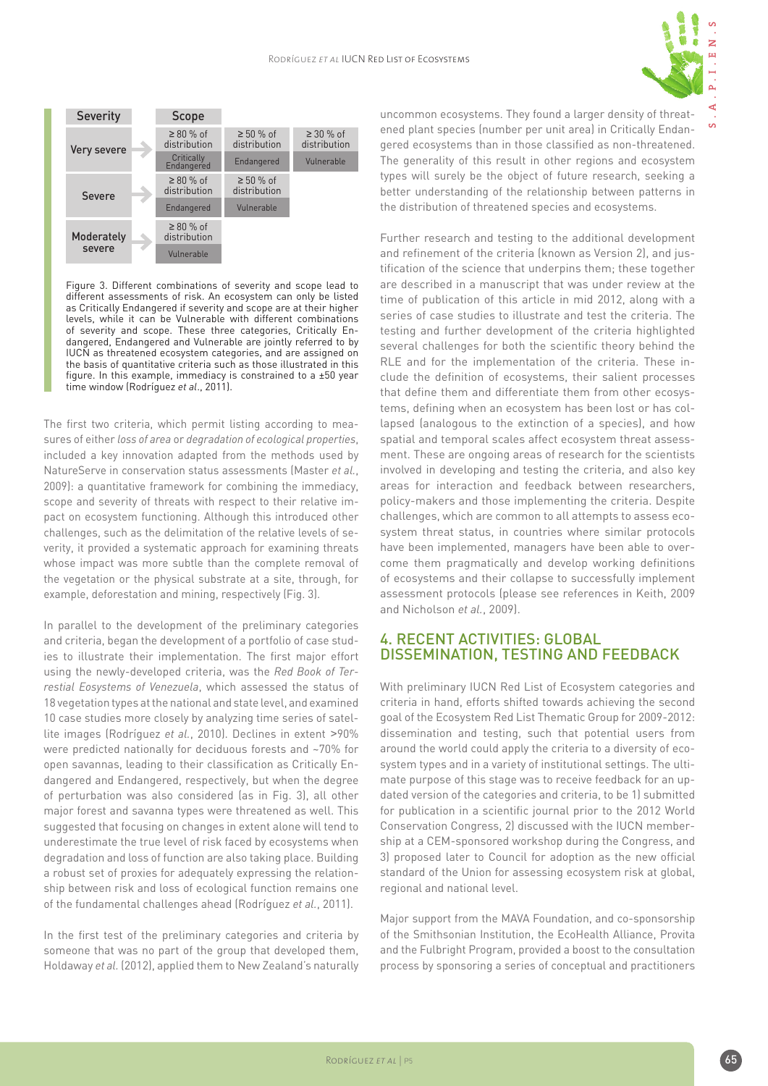

 $\mathbf{v}$ 



Figure 3. Different combinations of severity and scope lead to different assessments of risk. An ecosystem can only be listed as Critically Endangered if severity and scope are at their higher levels, while it can be Vulnerable with different combinations of severity and scope. These three categories, Critically Endangered, Endangered and Vulnerable are jointly referred to by IUCN as threatened ecosystem categories, and are assigned on the basis of quantitative criteria such as those illustrated in this figure. In this example, immediacy is constrained to a ±50 year time window (Rodríguez *et al*., 2011).

The first two criteria, which permit listing according to measures of either *loss of area* or *degradation of ecological properties*, included a key innovation adapted from the methods used by NatureServe in conservation status assessments (Master *et al.*, 2009): a quantitative framework for combining the immediacy, scope and severity of threats with respect to their relative impact on ecosystem functioning. Although this introduced other challenges, such as the delimitation of the relative levels of severity, it provided a systematic approach for examining threats whose impact was more subtle than the complete removal of the vegetation or the physical substrate at a site, through, for example, deforestation and mining, respectively (Fig. 3).

In parallel to the development of the preliminary categories and criteria, began the development of a portfolio of case studies to illustrate their implementation. The first major effort using the newly-developed criteria, was the *Red Book of Terrestial Eosystems of Venezuela*, which assessed the status of 18 vegetation types at the national and state level, and examined 10 case studies more closely by analyzing time series of satellite images (Rodríguez *et al.*, 2010). Declines in extent >90% were predicted nationally for deciduous forests and ~70% for open savannas, leading to their classification as Critically Endangered and Endangered, respectively, but when the degree of perturbation was also considered (as in Fig. 3), all other major forest and savanna types were threatened as well. This suggested that focusing on changes in extent alone will tend to underestimate the true level of risk faced by ecosystems when degradation and loss of function are also taking place. Building a robust set of proxies for adequately expressing the relationship between risk and loss of ecological function remains one of the fundamental challenges ahead (Rodríguez *et al.*, 2011).

In the first test of the preliminary categories and criteria by someone that was no part of the group that developed them, Holdaway *et al.* (2012), applied them to New Zealand's naturally uncommon ecosystems. They found a larger density of threatened plant species (number per unit area) in Critically Endangered ecosystems than in those classified as non-threatened. The generality of this result in other regions and ecosystem types will surely be the object of future research, seeking a better understanding of the relationship between patterns in the distribution of threatened species and ecosystems.

Further research and testing to the additional development and refinement of the criteria (known as Version 2), and justification of the science that underpins them; these together are described in a manuscript that was under review at the time of publication of this article in mid 2012, along with a series of case studies to illustrate and test the criteria. The testing and further development of the criteria highlighted several challenges for both the scientific theory behind the RLE and for the implementation of the criteria. These include the definition of ecosystems, their salient processes that define them and differentiate them from other ecosystems, defining when an ecosystem has been lost or has collapsed (analogous to the extinction of a species), and how spatial and temporal scales affect ecosystem threat assessment. These are ongoing areas of research for the scientists involved in developing and testing the criteria, and also key areas for interaction and feedback between researchers, policy-makers and those implementing the criteria. Despite challenges, which are common to all attempts to assess ecosystem threat status, in countries where similar protocols have been implemented, managers have been able to overcome them pragmatically and develop working definitions of ecosystems and their collapse to successfully implement assessment protocols (please see references in Keith, 2009 and Nicholson *et al.*, 2009).

#### 4. Recent activities: global dissemination, testing and feedback

With preliminary IUCN Red List of Ecosystem categories and criteria in hand, efforts shifted towards achieving the second goal of the Ecosystem Red List Thematic Group for 2009-2012: dissemination and testing, such that potential users from around the world could apply the criteria to a diversity of ecosystem types and in a variety of institutional settings. The ultimate purpose of this stage was to receive feedback for an updated version of the categories and criteria, to be 1) submitted for publication in a scientific journal prior to the 2012 World Conservation Congress, 2) discussed with the IUCN membership at a CEM-sponsored workshop during the Congress, and 3) proposed later to Council for adoption as the new official standard of the Union for assessing ecosystem risk at global, regional and national level.

Major support from the MAVA Foundation, and co-sponsorship of the Smithsonian Institution, the EcoHealth Alliance, Provita and the Fulbright Program, provided a boost to the consultation process by sponsoring a series of conceptual and practitioners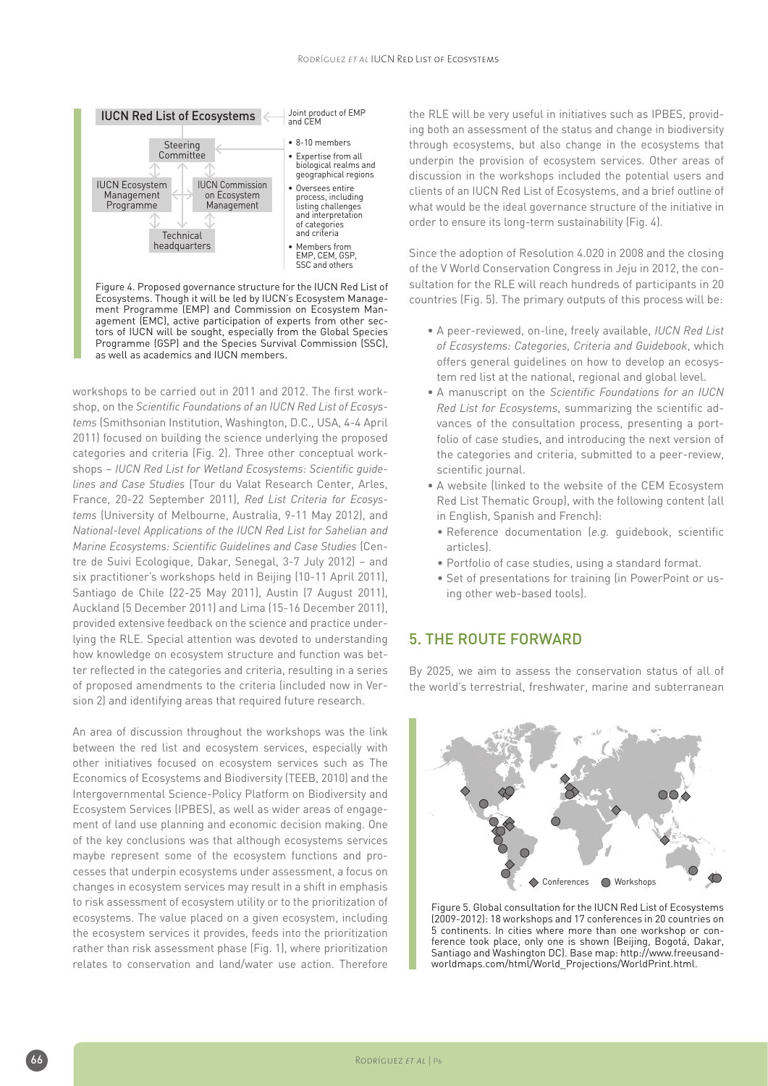

Ecosystems. Though it will be led by IUCN's Ecosystem Management Programme (EMP) and Commission on Ecosystem Management (EMC), active participation of experts from other sectors of IUCN will be sought, especially from the Global Species Programme (GSP) and the Species Survival Commission (SSC), as well as academics and IUCN members.

workshops to be carried out in 2011 and 2012. The first workshop, on the *Scientific Foundations of an IUCN Red List of Ecosystems* (Smithsonian Institution, Washington, D.C., USA, 4-4 April 2011) focused on building the science underlying the proposed categories and criteria (Fig. 2). Three other conceptual workshops – *IUCN Red List for Wetland Ecosystems: Scientific guidelines and Case Studies* (Tour du Valat Research Center, Arles, France, 20-22 September 2011), *Red List Criteria for Ecosystems* (University of Melbourne, Australia, 9-11 May 2012), and *National-level Applications of the IUCN Red List for Sahelian and Marine Ecosystems: Scientific Guidelines and Case Studies* (Centre de Suivi Ecologique, Dakar, Senegal, 3-7 July 2012) – and six practitioner's workshops held in Beijing (10-11 April 2011), Santiago de Chile (22-25 May 2011), Austin (7 August 2011), Auckland (5 December 2011) and Lima (15-16 December 2011), provided extensive feedback on the science and practice underlying the RLE. Special attention was devoted to understanding how knowledge on ecosystem structure and function was better reflected in the categories and criteria, resulting in a series of proposed amendments to the criteria (included now in Version 2) and identifying areas that required future research.

An area of discussion throughout the workshops was the link between the red list and ecosystem services, especially with other initiatives focused on ecosystem services such as The Economics of Ecosystems and Biodiversity (TEEB, 2010) and the Intergovernmental Science-Policy Platform on Biodiversity and Ecosystem Services (IPBES), as well as wider areas of engagement of land use planning and economic decision making. One of the key conclusions was that although ecosystems services maybe represent some of the ecosystem functions and processes that underpin ecosystems under assessment, a focus on changes in ecosystem services may result in a shift in emphasis to risk assessment of ecosystem utility or to the prioritization of ecosystems. The value placed on a given ecosystem, including the ecosystem services it provides, feeds into the prioritization rather than risk assessment phase (Fig. 1), where prioritization relates to conservation and land/water use action. Therefore

the RLE will be very useful in initiatives such as IPBES, providing both an assessment of the status and change in biodiversity through ecosystems, but also change in the ecosystems that underpin the provision of ecosystem services. Other areas of discussion in the workshops included the potential users and clients of an IUCN Red List of Ecosystems, and a brief outline of what would be the ideal governance structure of the initiative in order to ensure its long-term sustainability (Fig. 4).

Since the adoption of Resolution 4.020 in 2008 and the closing of the V World Conservation Congress in Jeju in 2012, the consultation for the RLE will reach hundreds of participants in 20 countries (Fig. 5). The primary outputs of this process will be:

- A peer-reviewed, on-line, freely available, *IUCN Red List of Ecosystems: Categories, Criteria and Guidebook*, which offers general guidelines on how to develop an ecosystem red list at the national, regional and global level.
- A manuscript on the *Scientific Foundations for an IUCN Red List for Ecosystems*, summarizing the scientific advances of the consultation process, presenting a portfolio of case studies, and introducing the next version of the categories and criteria, submitted to a peer-review, scientific journal.
- A website (linked to the website of the CEM Ecosystem Red List Thematic Group), with the following content (all in English, Spanish and French):
	- Reference documentation (*e.g.* guidebook, scientific articles).
	- Portfolio of case studies, using a standard format.
	- Set of presentations for training (in PowerPoint or using other web-based tools).

## 5. The route forward

By 2025, we aim to assess the conservation status of all of the world's terrestrial, freshwater, marine and subterranean



Figure 5. Global consultation for the IUCN Red List of Ecosystems (2009-2012): 18 workshops and 17 conferences in 20 countries on 5 continents. In cities where more than one workshop or conference took place, only one is shown (Beijing, Bogotá, Dakar, Santiago and Washington DC). Base map: http://www.freeusandworldmaps.com/html/World\_Projections/WorldPrint.html.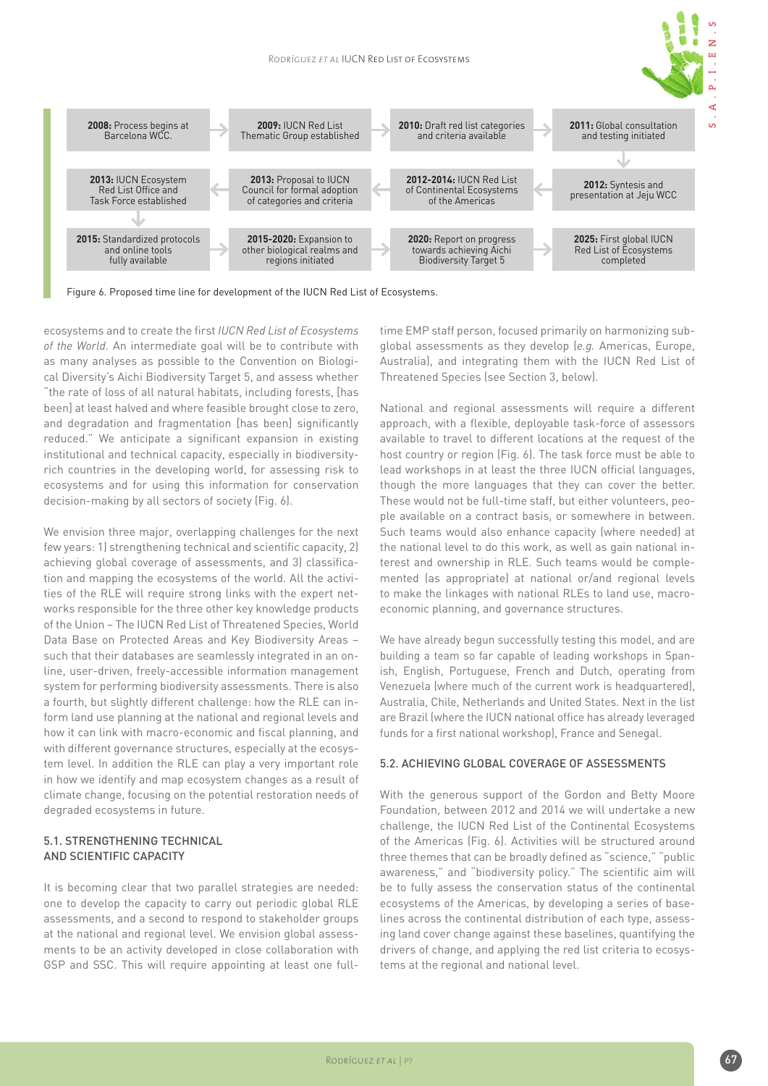

Figure 6. Proposed time line for development of the IUCN Red List of Ecosystems.

ecosystems and to create the first *IUCN Red List of Ecosystems of the World*. An intermediate goal will be to contribute with as many analyses as possible to the Convention on Biological Diversity's Aichi Biodiversity Target 5, and assess whether "the rate of loss of all natural habitats, including forests, [has been] at least halved and where feasible brought close to zero, and degradation and fragmentation [has been] significantly reduced." We anticipate a significant expansion in existing institutional and technical capacity, especially in biodiversityrich countries in the developing world, for assessing risk to ecosystems and for using this information for conservation decision-making by all sectors of society (Fig. 6).

We envision three major, overlapping challenges for the next few years: 1) strengthening technical and scientific capacity, 2) achieving global coverage of assessments, and 3) classification and mapping the ecosystems of the world. All the activities of the RLE will require strong links with the expert networks responsible for the three other key knowledge products of the Union – The IUCN Red List of Threatened Species, World Data Base on Protected Areas and Key Biodiversity Areas – such that their databases are seamlessly integrated in an online, user-driven, freely-accessible information management system for performing biodiversity assessments. There is also a fourth, but slightly different challenge: how the RLE can inform land use planning at the national and regional levels and how it can link with macro-economic and fiscal planning, and with different governance structures, especially at the ecosystem level. In addition the RLE can play a very important role in how we identify and map ecosystem changes as a result of climate change, focusing on the potential restoration needs of degraded ecosystems in future.

#### 5.1. Strengthening technical and scientific capacity

It is becoming clear that two parallel strategies are needed: one to develop the capacity to carry out periodic global RLE assessments, and a second to respond to stakeholder groups at the national and regional level. We envision global assessments to be an activity developed in close collaboration with GSP and SSC. This will require appointing at least one fulltime EMP staff person, focused primarily on harmonizing subglobal assessments as they develop (*e.g.* Americas, Europe, Australia), and integrating them with the IUCN Red List of Threatened Species (see Section 3, below).

National and regional assessments will require a different approach, with a flexible, deployable task-force of assessors available to travel to different locations at the request of the host country or region (Fig. 6). The task force must be able to lead workshops in at least the three IUCN official languages, though the more languages that they can cover the better. These would not be full-time staff, but either volunteers, people available on a contract basis, or somewhere in between. Such teams would also enhance capacity (where needed) at the national level to do this work, as well as gain national interest and ownership in RLE. Such teams would be complemented (as appropriate) at national or/and regional levels to make the linkages with national RLEs to land use, macroeconomic planning, and governance structures.

We have already begun successfully testing this model, and are building a team so far capable of leading workshops in Spanish, English, Portuguese, French and Dutch, operating from Venezuela (where much of the current work is headquartered), Australia, Chile, Netherlands and United States. Next in the list are Brazil (where the IUCN national office has already leveraged funds for a first national workshop), France and Senegal.

#### 5.2. Achieving global coverage of assessments

With the generous support of the Gordon and Betty Moore Foundation, between 2012 and 2014 we will undertake a new challenge, the IUCN Red List of the Continental Ecosystems of the Americas (Fig. 6). Activities will be structured around three themes that can be broadly defined as "science," "public awareness," and "biodiversity policy." The scientific aim will be to fully assess the conservation status of the continental ecosystems of the Americas, by developing a series of baselines across the continental distribution of each type, assessing land cover change against these baselines, quantifying the drivers of change, and applying the red list criteria to ecosystems at the regional and national level.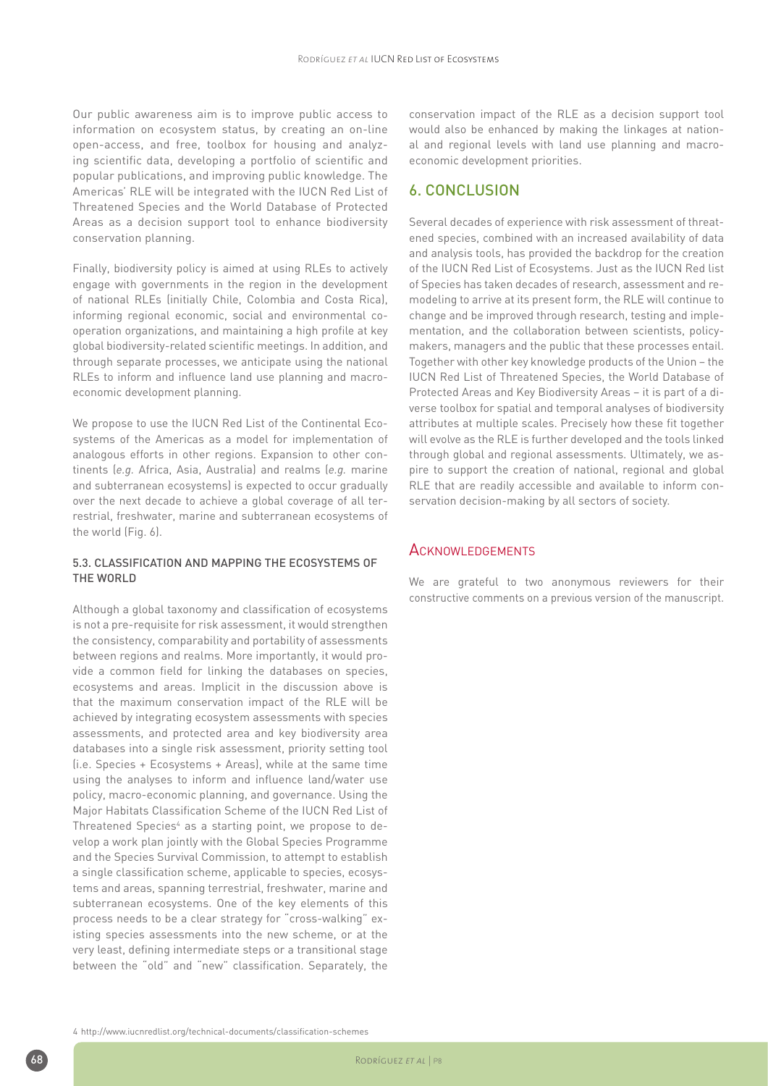Our public awareness aim is to improve public access to information on ecosystem status, by creating an on-line open-access, and free, toolbox for housing and analyzing scientific data, developing a portfolio of scientific and popular publications, and improving public knowledge. The Americas' RLE will be integrated with the IUCN Red List of Threatened Species and the World Database of Protected Areas as a decision support tool to enhance biodiversity conservation planning.

Finally, biodiversity policy is aimed at using RLEs to actively engage with governments in the region in the development of national RLEs (initially Chile, Colombia and Costa Rica), informing regional economic, social and environmental cooperation organizations, and maintaining a high profile at key global biodiversity-related scientific meetings. In addition, and through separate processes, we anticipate using the national RLEs to inform and influence land use planning and macroeconomic development planning.

We propose to use the IUCN Red List of the Continental Ecosystems of the Americas as a model for implementation of analogous efforts in other regions. Expansion to other continents (*e.g.* Africa, Asia, Australia) and realms (*e.g.* marine and subterranean ecosystems) is expected to occur gradually over the next decade to achieve a global coverage of all terrestrial, freshwater, marine and subterranean ecosystems of the world (Fig. 6).

#### 5.3. CLASSIFICATION AND Mapping the ecosystems of THE WORLD

Although a global taxonomy and classification of ecosystems is not a pre-requisite for risk assessment, it would strengthen the consistency, comparability and portability of assessments between regions and realms. More importantly, it would provide a common field for linking the databases on species, ecosystems and areas. Implicit in the discussion above is that the maximum conservation impact of the RLE will be achieved by integrating ecosystem assessments with species assessments, and protected area and key biodiversity area databases into a single risk assessment, priority setting tool (i.e. Species + Ecosystems + Areas), while at the same time using the analyses to inform and influence land/water use policy, macro-economic planning, and governance. Using the Major Habitats Classification Scheme of the IUCN Red List of Threatened Species<sup>4</sup> as a starting point, we propose to develop a work plan jointly with the Global Species Programme and the Species Survival Commission, to attempt to establish a single classification scheme, applicable to species, ecosystems and areas, spanning terrestrial, freshwater, marine and subterranean ecosystems. One of the key elements of this process needs to be a clear strategy for "cross-walking" existing species assessments into the new scheme, or at the very least, defining intermediate steps or a transitional stage between the "old" and "new" classification. Separately, the

conservation impact of the RLE as a decision support tool would also be enhanced by making the linkages at national and regional levels with land use planning and macroeconomic development priorities.

#### 6. Conclusion

Several decades of experience with risk assessment of threatened species, combined with an increased availability of data and analysis tools, has provided the backdrop for the creation of the IUCN Red List of Ecosystems. Just as the IUCN Red list of Species has taken decades of research, assessment and remodeling to arrive at its present form, the RLE will continue to change and be improved through research, testing and implementation, and the collaboration between scientists, policymakers, managers and the public that these processes entail. Together with other key knowledge products of the Union – the IUCN Red List of Threatened Species, the World Database of Protected Areas and Key Biodiversity Areas – it is part of a diverse toolbox for spatial and temporal analyses of biodiversity attributes at multiple scales. Precisely how these fit together will evolve as the RLE is further developed and the tools linked through global and regional assessments. Ultimately, we aspire to support the creation of national, regional and global RLE that are readily accessible and available to inform conservation decision-making by all sectors of society.

#### **ACKNOWLEDGEMENTS**

We are grateful to two anonymous reviewers for their constructive comments on a previous version of the manuscript.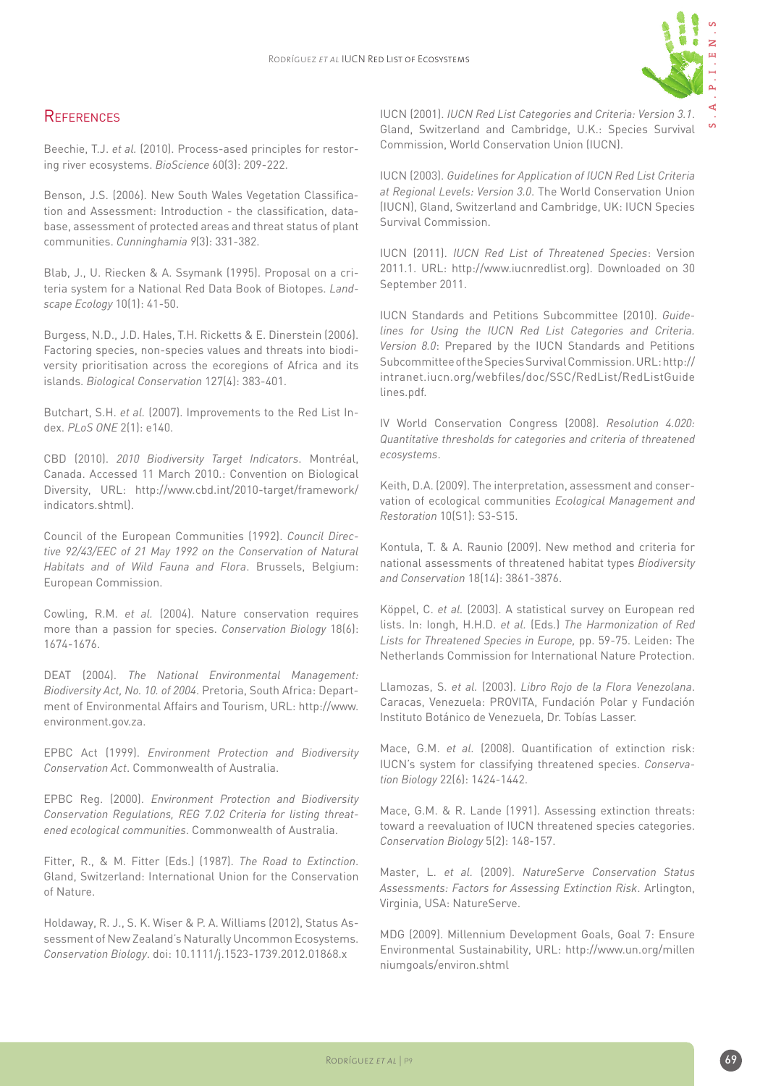

 $\infty$ 

## **REFERENCES**

Beechie, T.J. *et al.* (2010). Process-ased principles for restoring river ecosystems. *BioScience* 60(3): 209-222.

Benson, J.S. (2006). New South Wales Vegetation Classification and Assessment: Introduction - the classification, database, assessment of protected areas and threat status of plant communities. *Cunninghamia 9*(3): 331-382.

Blab, J., U. Riecken & A. Ssymank (1995). Proposal on a criteria system for a National Red Data Book of Biotopes. *Landscape Ecology* 10(1): 41-50.

Burgess, N.D., J.D. Hales, T.H. Ricketts & E. Dinerstein (2006). Factoring species, non-species values and threats into biodiversity prioritisation across the ecoregions of Africa and its islands. *Biological Conservation* 127(4): 383-401.

Butchart, S.H. *et al.* (2007). Improvements to the Red List Index. *PLoS ONE* 2(1): e140.

CBD (2010). *2010 Biodiversity Target Indicators*. Montréal, Canada. Accessed 11 March 2010.: Convention on Biological Diversity, URL: http://www.cbd.int/2010-target/framework/ indicators.shtml).

Council of the European Communities (1992). *Council Directive 92/43/EEC of 21 May 1992 on the Conservation of Natural Habitats and of Wild Fauna and Flora*. Brussels, Belgium: European Commission.

Cowling, R.M. *et al.* (2004). Nature conservation requires more than a passion for species. *Conservation Biology* 18(6): 1674-1676.

DEAT (2004). *The National Environmental Management: Biodiversity Act, No. 10. of 2004*. Pretoria, South Africa: Department of Environmental Affairs and Tourism, URL: http://www. environment.gov.za.

EPBC Act (1999). *Environment Protection and Biodiversity Conservation Act*. Commonwealth of Australia.

EPBC Reg. (2000). *Environment Protection and Biodiversity Conservation Regulations, REG 7.02 Criteria for listing threatened ecological communities*. Commonwealth of Australia.

Fitter, R., & M. Fitter (Eds.) (1987). *The Road to Extinction*. Gland, Switzerland: International Union for the Conservation of Nature.

Holdaway, R. J., S. K. Wiser & P. A. Williams (2012), Status Assessment of New Zealand's Naturally Uncommon Ecosystems. *Conservation Biology*. doi: 10.1111/j.1523-1739.2012.01868.x

IUCN (2001). *IUCN Red List Categories and Criteria: Version 3.1*. Gland, Switzerland and Cambridge, U.K.: Species Survival Commission, World Conservation Union (IUCN).

IUCN (2003). *Guidelines for Application of IUCN Red List Criteria at Regional Levels: Version 3.0*. The World Conservation Union (IUCN), Gland, Switzerland and Cambridge, UK: IUCN Species Survival Commission.

IUCN (2011). *IUCN Red List of Threatened Species*: Version 2011.1. URL: http://www.iucnredlist.org). Downloaded on 30 September 2011.

IUCN Standards and Petitions Subcommittee (2010). *Guidelines for Using the IUCN Red List Categories and Criteria. Version 8.0*: Prepared by the IUCN Standards and Petitions Subcommittee of the Species Survival Commission. URL: http:// intranet.iucn.org/webfiles/doc/SSC/RedList/RedListGuide lines.pdf.

IV World Conservation Congress (2008). *Resolution 4.020: Quantitative thresholds for categories and criteria of threatened ecosystems*.

Keith, D.A. (2009). The interpretation, assessment and conservation of ecological communities *Ecological Management and Restoration* 10(S1): S3-S15.

Kontula, T. & A. Raunio (2009). New method and criteria for national assessments of threatened habitat types *Biodiversity and Conservation* 18(14): 3861-3876.

Köppel, C. *et al.* (2003). A statistical survey on European red lists. In: Iongh, H.H.D. *et al.* (Eds.) *The Harmonization of Red Lists for Threatened Species in Europe,* pp. 59-75. Leiden: The Netherlands Commission for International Nature Protection.

Llamozas, S. *et al.* (2003). *Libro Rojo de la Flora Venezolana*. Caracas, Venezuela: PROVITA, Fundación Polar y Fundación Instituto Botánico de Venezuela, Dr. Tobías Lasser.

Mace, G.M. *et al.* (2008). Quantification of extinction risk: IUCN's system for classifying threatened species. *Conservation Biology* 22(6): 1424-1442.

Mace, G.M. & R. Lande (1991). Assessing extinction threats: toward a reevaluation of IUCN threatened species categories. *Conservation Biology* 5(2): 148-157.

Master, L. *et al.* (2009). *NatureServe Conservation Status Assessments: Factors for Assessing Extinction Risk*. Arlington, Virginia, USA: NatureServe.

MDG (2009). Millennium Development Goals, Goal 7: Ensure Environmental Sustainability, URL: http://www.un.org/millen niumgoals/environ.shtml